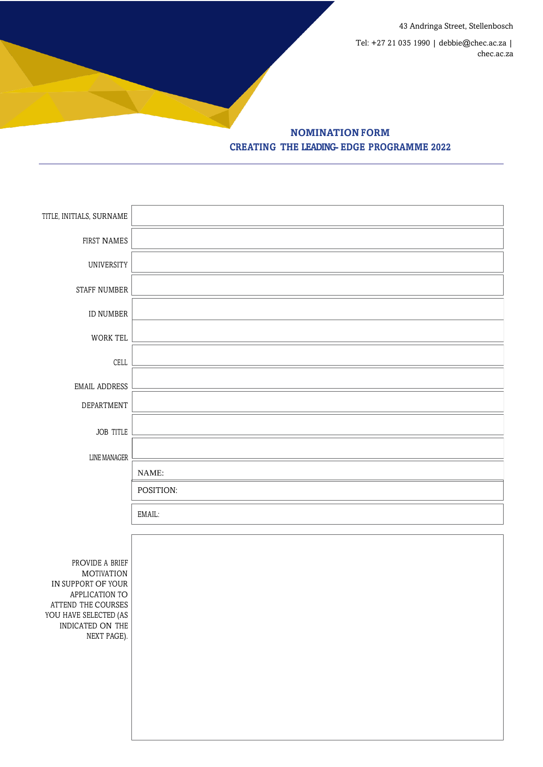43 Andringa Street, Stellenbosch

Tel: +27 21 035 1990 | debbie@chec.ac.za | chec.ac.za

**NOMINATION FORM CREATING THE LEADING- EDGE PROGRAMME 2022**

| TITLE, INITIALS, SURNAME                                                                                                                                       |           |
|----------------------------------------------------------------------------------------------------------------------------------------------------------------|-----------|
| FIRST NAMES                                                                                                                                                    |           |
| UNIVERSITY                                                                                                                                                     |           |
| STAFF NUMBER                                                                                                                                                   |           |
| ID NUMBER                                                                                                                                                      |           |
| WORK TEL                                                                                                                                                       |           |
| CELL                                                                                                                                                           |           |
| EMAIL ADDRESS                                                                                                                                                  |           |
| DEPARTMENT                                                                                                                                                     |           |
| <b>JOB TITLE</b>                                                                                                                                               |           |
| <b>LINE MANAGER</b>                                                                                                                                            |           |
|                                                                                                                                                                | NAME:     |
|                                                                                                                                                                | POSITION: |
|                                                                                                                                                                | EMAIL:    |
|                                                                                                                                                                |           |
| PROVIDE A BRIEF<br><b>MOTIVATION</b><br>IN SUPPORT OF YOUR<br>APPLICATION TO<br>ATTEND THE COURSES<br>YOU HAVE SELECTED (AS<br>INDICATED ON THE<br>NEXT PAGE). |           |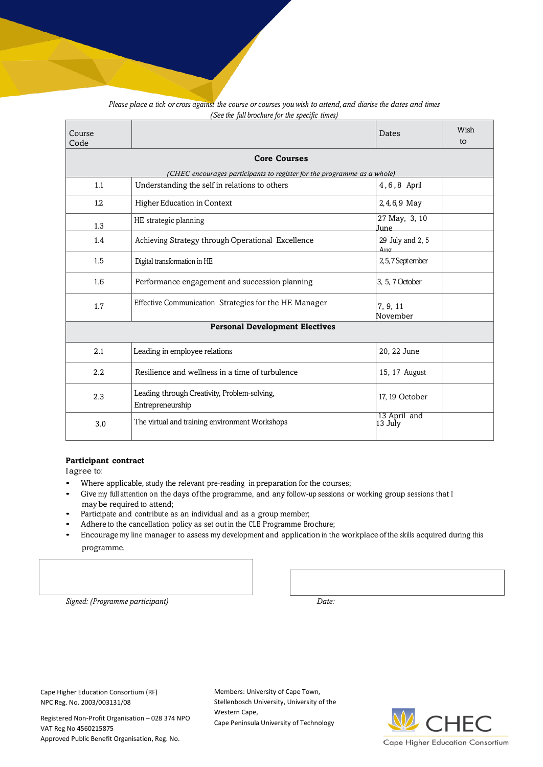| Course<br>Code                                                          |                                                                  | Dates                            | Wish<br>to |  |
|-------------------------------------------------------------------------|------------------------------------------------------------------|----------------------------------|------------|--|
| <b>Core Courses</b>                                                     |                                                                  |                                  |            |  |
| (CHEC encourages participants to register for the programme as a whole) |                                                                  |                                  |            |  |
| 1.1                                                                     | Understanding the self in relations to others                    | 4.6.8 April                      |            |  |
| 1.2                                                                     | Higher Education in Context                                      | 2, 4, 6, 9 May                   |            |  |
| 1.3                                                                     | HE strategic planning                                            | 27 May, 3, 10<br>June            |            |  |
| 1.4                                                                     | Achieving Strategy through Operational Excellence                | 29 July and 2, 5<br>$\Delta$ 110 |            |  |
| 1.5                                                                     | Digital transformation in HE                                     | 2,5,7 September                  |            |  |
| 1.6                                                                     | Performance engagement and succession planning                   | 3, 5, 7 October                  |            |  |
| 1.7                                                                     | Effective Communication Strategies for the HE Manager            | 7, 9, 11<br>November             |            |  |
| <b>Personal Development Electives</b>                                   |                                                                  |                                  |            |  |
| 2.1                                                                     | Leading in employee relations                                    | 20, 22 June                      |            |  |
| 2.2                                                                     | Resilience and wellness in a time of turbulence                  | 15, 17 August                    |            |  |
| 2.3                                                                     | Leading through Creativity, Problem-solving,<br>Entrepreneurship | 17, 19 October                   |            |  |
| 3.0                                                                     | The virtual and training environment Workshops                   | 13 April and<br>13 July          |            |  |

## Please place a tick or cross against the course or courses you wish to attend, and diarise the dates and times *(See the full brochure for the specific times)*

## **Participant contract**

I agree to:

- Where applicable, study the relevant pre-reading in preparation for the courses;
- Give my full attention on the days of the programme, and any follow-up sessions or working group sessions that <sup>I</sup> may be required to attend;
- Participate and contribute as an individual and as <sup>a</sup> group member;
- Adhere to the cancellation policy as set out in the CLE Programme Brochure;
- Encourage my line manager to assess my development and application in the workplace of the skills acquired during this programme.

*Signed: (Programme participant) Date:*

Cape Higher Education Consortium (RF) NPC Reg. No. 2003/003131/08

Registered Non-Profit Organisation – 028 374 NPO VAT Reg No 4560215875 Approved Public Benefit Organisation, Reg. No.

Members: University of Cape Town, Stellenbosch University, University of the Western Cape, Cape Peninsula University of Technology